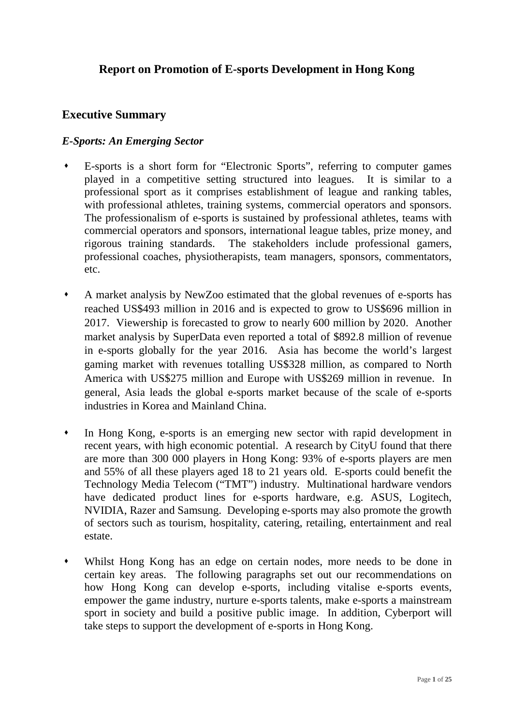# **Report on Promotion of E-sports Development in Hong Kong**

### **Executive Summary**

#### *E-Sports: An Emerging Sector*

- E-sports is a short form for "Electronic Sports", referring to computer games played in a competitive setting structured into leagues. It is similar to a professional sport as it comprises establishment of league and ranking tables, with professional athletes, training systems, commercial operators and sponsors. The professionalism of e-sports is sustained by professional athletes, teams with commercial operators and sponsors, international league tables, prize money, and rigorous training standards. The stakeholders include professional gamers, professional coaches, physiotherapists, team managers, sponsors, commentators, etc.
- A market analysis by NewZoo estimated that the global revenues of e-sports has reached US\$493 million in 2016 and is expected to grow to US\$696 million in 2017. Viewership is forecasted to grow to nearly 600 million by 2020. Another market analysis by SuperData even reported a total of \$892.8 million of revenue in e-sports globally for the year 2016. Asia has become the world's largest gaming market with revenues totalling US\$328 million, as compared to North America with US\$275 million and Europe with US\$269 million in revenue. In general, Asia leads the global e-sports market because of the scale of e-sports industries in Korea and Mainland China.
- In Hong Kong, e-sports is an emerging new sector with rapid development in recent years, with high economic potential. A research by CityU found that there are more than 300 000 players in Hong Kong: 93% of e-sports players are men and 55% of all these players aged 18 to 21 years old. E-sports could benefit the Technology Media Telecom ("TMT") industry. Multinational hardware vendors have dedicated product lines for e-sports hardware, e.g. ASUS, Logitech, NVIDIA, Razer and Samsung. Developing e-sports may also promote the growth of sectors such as tourism, hospitality, catering, retailing, entertainment and real estate.
- Whilst Hong Kong has an edge on certain nodes, more needs to be done in certain key areas. The following paragraphs set out our recommendations on how Hong Kong can develop e-sports, including vitalise e-sports events, empower the game industry, nurture e-sports talents, make e-sports a mainstream sport in society and build a positive public image. In addition, Cyberport will take steps to support the development of e-sports in Hong Kong.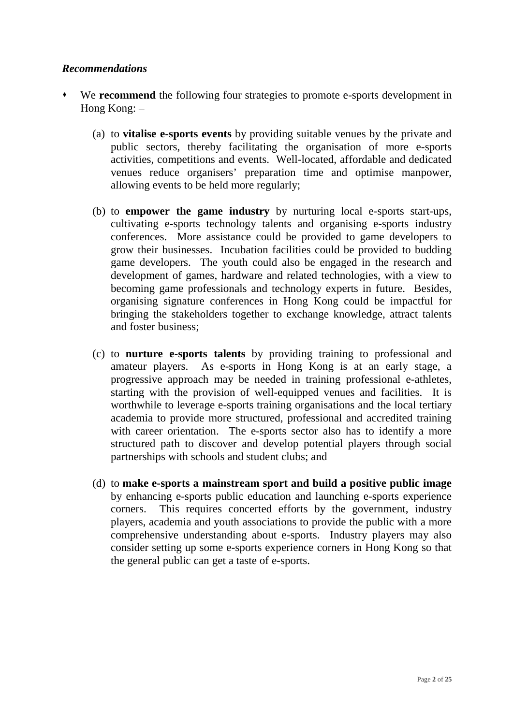### *Recommendations*

- We **recommend** the following four strategies to promote e-sports development in Hong Kong: –
	- (a) to **vitalise e-sports events** by providing suitable venues by the private and public sectors, thereby facilitating the organisation of more e-sports activities, competitions and events. Well-located, affordable and dedicated venues reduce organisers' preparation time and optimise manpower, allowing events to be held more regularly;
	- (b) to **empower the game industry** by nurturing local e-sports start-ups, cultivating e-sports technology talents and organising e-sports industry conferences. More assistance could be provided to game developers to grow their businesses. Incubation facilities could be provided to budding game developers. The youth could also be engaged in the research and development of games, hardware and related technologies, with a view to becoming game professionals and technology experts in future. Besides, organising signature conferences in Hong Kong could be impactful for bringing the stakeholders together to exchange knowledge, attract talents and foster business;
	- (c) to **nurture e-sports talents** by providing training to professional and amateur players. As e-sports in Hong Kong is at an early stage, a progressive approach may be needed in training professional e-athletes, starting with the provision of well-equipped venues and facilities. It is worthwhile to leverage e-sports training organisations and the local tertiary academia to provide more structured, professional and accredited training with career orientation. The e-sports sector also has to identify a more structured path to discover and develop potential players through social partnerships with schools and student clubs; and
	- (d) to **make e-sports a mainstream sport and build a positive public image** by enhancing e-sports public education and launching e-sports experience corners. This requires concerted efforts by the government, industry players, academia and youth associations to provide the public with a more comprehensive understanding about e-sports. Industry players may also consider setting up some e-sports experience corners in Hong Kong so that the general public can get a taste of e-sports.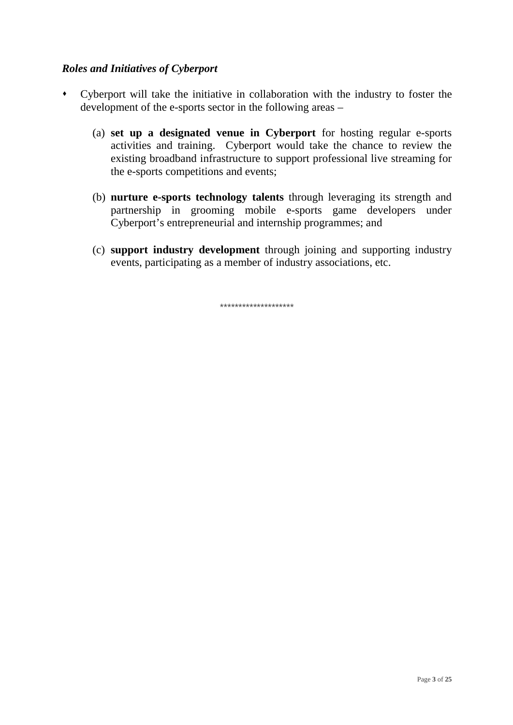# *Roles and Initiatives of Cyberport*

- Cyberport will take the initiative in collaboration with the industry to foster the development of the e-sports sector in the following areas –
	- (a) **set up a designated venue in Cyberport** for hosting regular e-sports activities and training. Cyberport would take the chance to review the existing broadband infrastructure to support professional live streaming for the e-sports competitions and events;
	- (b) **nurture e-sports technology talents** through leveraging its strength and partnership in grooming mobile e-sports game developers under Cyberport's entrepreneurial and internship programmes; and
	- (c) **support industry development** through joining and supporting industry events, participating as a member of industry associations, etc.

\*\*\*\*\*\*\*\*\*\*\*\*\*\*\*\*\*\*\*\*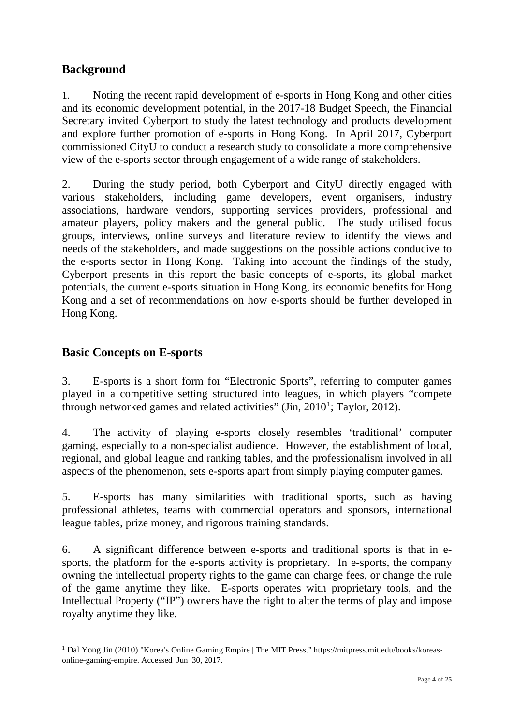# **Background**

1. Noting the recent rapid development of e-sports in Hong Kong and other cities and its economic development potential, in the 2017-18 Budget Speech, the Financial Secretary invited Cyberport to study the latest technology and products development and explore further promotion of e-sports in Hong Kong. In April 2017, Cyberport commissioned CityU to conduct a research study to consolidate a more comprehensive view of the e-sports sector through engagement of a wide range of stakeholders.

2. During the study period, both Cyberport and CityU directly engaged with various stakeholders, including game developers, event organisers, industry associations, hardware vendors, supporting services providers, professional and amateur players, policy makers and the general public. The study utilised focus groups, interviews, online surveys and literature review to identify the views and needs of the stakeholders, and made suggestions on the possible actions conducive to the e-sports sector in Hong Kong. Taking into account the findings of the study, Cyberport presents in this report the basic concepts of e-sports, its global market potentials, the current e-sports situation in Hong Kong, its economic benefits for Hong Kong and a set of recommendations on how e-sports should be further developed in Hong Kong.

# **Basic Concepts on E-sports**

3. E-sports is a short form for "Electronic Sports", referring to computer games played in a competitive setting structured into leagues, in which players "compete through networked games and related activities" (Jin,  $2010<sup>1</sup>$  $2010<sup>1</sup>$  $2010<sup>1</sup>$ ; Taylor, 2012).

4. The activity of playing e-sports closely resembles 'traditional' computer gaming, especially to a non-specialist audience. However, the establishment of local, regional, and global league and ranking tables, and the professionalism involved in all aspects of the phenomenon, sets e-sports apart from simply playing computer games.

5. E-sports has many similarities with traditional sports, such as having professional athletes, teams with commercial operators and sponsors, international league tables, prize money, and rigorous training standards.

6. A significant difference between e-sports and traditional sports is that in esports, the platform for the e-sports activity is proprietary. In e-sports, the company owning the intellectual property rights to the game can charge fees, or change the rule of the game anytime they like. E-sports operates with proprietary tools, and the Intellectual Property ("IP") owners have the right to alter the terms of play and impose royalty anytime they like.

<span id="page-3-0"></span> $\overline{a}$ <sup>1</sup> Dal Yong Jin (2010) "Korea's Online Gaming Empire | The MIT Press." https://mitpress.mit.edu/books/koreas-online-gaming-empire. Accessed Jun 30, 2017.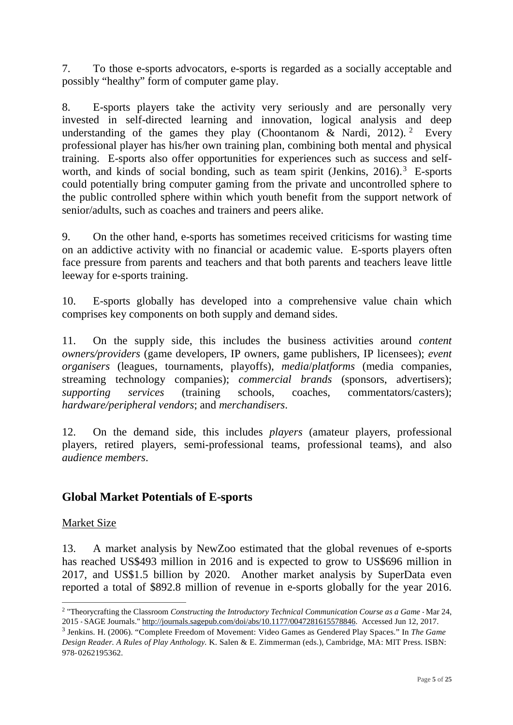7. To those e-sports advocators, e-sports is regarded as a socially acceptable and possibly "healthy" form of computer game play.

8. E-sports players take the activity very seriously and are personally very invested in self-directed learning and innovation, logical analysis and deep understanding of the games they play (Choontanom & Nardi, [2](#page-4-0)012). <sup>2</sup> Every professional player has his/her own training plan, combining both mental and physical training. E-sports also offer opportunities for experiences such as success and self-worth, and kinds of social bonding, such as team spirit (Jenkins, 2016).<sup>[3](#page-4-1)</sup> E-sports could potentially bring computer gaming from the private and uncontrolled sphere to the public controlled sphere within which youth benefit from the support network of senior/adults, such as coaches and trainers and peers alike.

9. On the other hand, e-sports has sometimes received criticisms for wasting time on an addictive activity with no financial or academic value. E-sports players often face pressure from parents and teachers and that both parents and teachers leave little leeway for e-sports training.

10. E-sports globally has developed into a comprehensive value chain which comprises key components on both supply and demand sides.

11. On the supply side, this includes the business activities around *content owners/providers* (game developers, IP owners, game publishers, IP licensees); *event organisers* (leagues, tournaments, playoffs), *media*/*platforms* (media companies, streaming technology companies); *commercial brands* (sponsors, advertisers); *supporting services* (training schools, coaches, commentators/casters); *hardware/peripheral vendors*; and *merchandisers*.

12. On the demand side, this includes *players* (amateur players, professional players, retired players, semi-professional teams, professional teams), and also *audience members*.

# **Global Market Potentials of E-sports**

#### Market Size

 $\overline{a}$ 

13. A market analysis by NewZoo estimated that the global revenues of e-sports has reached US\$493 million in 2016 and is expected to grow to US\$696 million in 2017, and US\$1.5 billion by 2020. Another market analysis by SuperData even reported a total of \$892.8 million of revenue in e-sports globally for the year 2016.

<span id="page-4-0"></span><sup>2</sup> "Theorycrafting the Classroom *Constructing the Introductory Technical Communication Course as a Game* - Mar 24, 2015 - SAGE Journals." [http://journals.sagepub.com/doi/abs/10.1177/0047281615578846. A](http://journals.sagepub.com/doi/abs/10.1177/0047281615578846)ccessed Jun 12, 2017.

<span id="page-4-1"></span><sup>3</sup> Jenkins. H. (2006). "Complete Freedom of Movement: Video Games as Gendered Play Spaces." In *The Game Design Reader. A Rules of Play Anthology.* K. Salen & E. Zimmerman (eds.), Cambridge, MA: MIT Press. ISBN: 978-0262195362.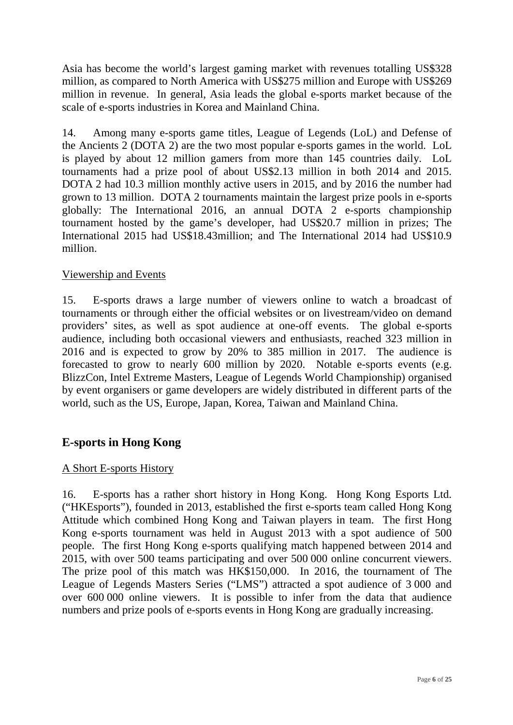Asia has become the world's largest gaming market with revenues totalling US\$328 million, as compared to North America with US\$275 million and Europe with US\$269 million in revenue. In general, Asia leads the global e-sports market because of the scale of e-sports industries in Korea and Mainland China.

14. Among many e-sports game titles, League of Legends (LoL) and Defense of the Ancients 2 (DOTA 2) are the two most popular e-sports games in the world. LoL is played by about 12 million gamers from more than 145 countries daily. LoL tournaments had a prize pool of about US\$2.13 million in both 2014 and 2015. DOTA 2 had 10.3 million monthly active users in 2015, and by 2016 the number had grown to 13 million. DOTA 2 tournaments maintain the largest prize pools in e-sports globally: The International 2016, an annual DOTA 2 e-sports championship tournament hosted by the game's developer, had US\$20.7 million in prizes; The International 2015 had US\$18.43million; and The International 2014 had US\$10.9 million.

### Viewership and Events

15. E-sports draws a large number of viewers online to watch a broadcast of tournaments or through either the official websites or on livestream/video on demand providers' sites, as well as spot audience at one-off events. The global e-sports audience, including both occasional viewers and enthusiasts, reached 323 million in 2016 and is expected to grow by 20% to 385 million in 2017. The audience is forecasted to grow to nearly 600 million by 2020. Notable e-sports events (e.g. BlizzCon, Intel Extreme Masters, League of Legends World Championship) organised by event organisers or game developers are widely distributed in different parts of the world, such as the US, Europe, Japan, Korea, Taiwan and Mainland China.

# **E-sports in Hong Kong**

#### A Short E-sports History

16. E-sports has a rather short history in Hong Kong. Hong Kong Esports Ltd. ("HKEsports"), founded in 2013, established the first e-sports team called Hong Kong Attitude which combined Hong Kong and Taiwan players in team. The first Hong Kong e-sports tournament was held in August 2013 with a spot audience of 500 people. The first Hong Kong e-sports qualifying match happened between 2014 and 2015, with over 500 teams participating and over 500 000 online concurrent viewers. The prize pool of this match was HK\$150,000. In 2016, the tournament of The League of Legends Masters Series ("LMS") attracted a spot audience of 3 000 and over 600 000 online viewers. It is possible to infer from the data that audience numbers and prize pools of e-sports events in Hong Kong are gradually increasing.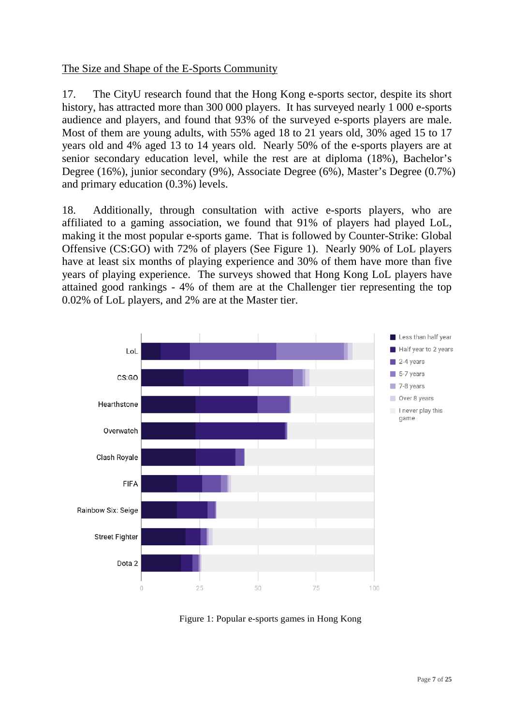### The Size and Shape of the E-Sports Community

17. The CityU research found that the Hong Kong e-sports sector, despite its short history, has attracted more than 300 000 players. It has surveyed nearly 1 000 e-sports audience and players, and found that 93% of the surveyed e-sports players are male. Most of them are young adults, with 55% aged 18 to 21 years old, 30% aged 15 to 17 years old and 4% aged 13 to 14 years old. Nearly 50% of the e-sports players are at senior secondary education level, while the rest are at diploma (18%), Bachelor's Degree (16%), junior secondary (9%), Associate Degree (6%), Master's Degree (0.7%) and primary education (0.3%) levels.

18. Additionally, through consultation with active e-sports players, who are affiliated to a gaming association, we found that 91% of players had played LoL, making it the most popular e-sports game. That is followed by Counter-Strike: Global Offensive (CS:GO) with 72% of players (See Figure 1). Nearly 90% of LoL players have at least six months of playing experience and 30% of them have more than five years of playing experience. The surveys showed that Hong Kong LoL players have attained good rankings - 4% of them are at the Challenger tier representing the top 0.02% of LoL players, and 2% are at the Master tier.



Figure 1: Popular e-sports games in Hong Kong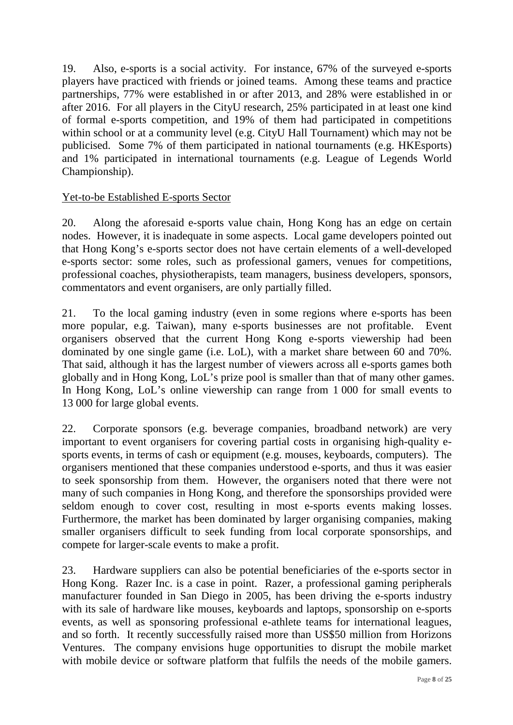19. Also, e-sports is a social activity. For instance, 67% of the surveyed e-sports players have practiced with friends or joined teams. Among these teams and practice partnerships, 77% were established in or after 2013, and 28% were established in or after 2016. For all players in the CityU research, 25% participated in at least one kind of formal e-sports competition, and 19% of them had participated in competitions within school or at a community level (e.g. CityU Hall Tournament) which may not be publicised. Some 7% of them participated in national tournaments (e.g. HKEsports) and 1% participated in international tournaments (e.g. League of Legends World Championship).

# Yet-to-be Established E-sports Sector

20. Along the aforesaid e-sports value chain, Hong Kong has an edge on certain nodes. However, it is inadequate in some aspects. Local game developers pointed out that Hong Kong's e-sports sector does not have certain elements of a well-developed e-sports sector: some roles, such as professional gamers, venues for competitions, professional coaches, physiotherapists, team managers, business developers, sponsors, commentators and event organisers, are only partially filled.

21. To the local gaming industry (even in some regions where e-sports has been more popular, e.g. Taiwan), many e-sports businesses are not profitable. Event organisers observed that the current Hong Kong e-sports viewership had been dominated by one single game (i.e. LoL), with a market share between 60 and 70%. That said, although it has the largest number of viewers across all e-sports games both globally and in Hong Kong, LoL's prize pool is smaller than that of many other games. In Hong Kong, LoL's online viewership can range from 1 000 for small events to 13 000 for large global events.

22. Corporate sponsors (e.g. beverage companies, broadband network) are very important to event organisers for covering partial costs in organising high-quality esports events, in terms of cash or equipment (e.g. mouses, keyboards, computers). The organisers mentioned that these companies understood e-sports, and thus it was easier to seek sponsorship from them. However, the organisers noted that there were not many of such companies in Hong Kong, and therefore the sponsorships provided were seldom enough to cover cost, resulting in most e-sports events making losses. Furthermore, the market has been dominated by larger organising companies, making smaller organisers difficult to seek funding from local corporate sponsorships, and compete for larger-scale events to make a profit.

23. Hardware suppliers can also be potential beneficiaries of the e-sports sector in Hong Kong. Razer Inc. is a case in point. Razer, a professional gaming peripherals manufacturer founded in San Diego in 2005, has been driving the e-sports industry with its sale of hardware like mouses, keyboards and laptops, sponsorship on e-sports events, as well as sponsoring professional e-athlete teams for international leagues, and so forth. It recently successfully raised more than US\$50 million from Horizons Ventures. The company envisions huge opportunities to disrupt the mobile market with mobile device or software platform that fulfils the needs of the mobile gamers.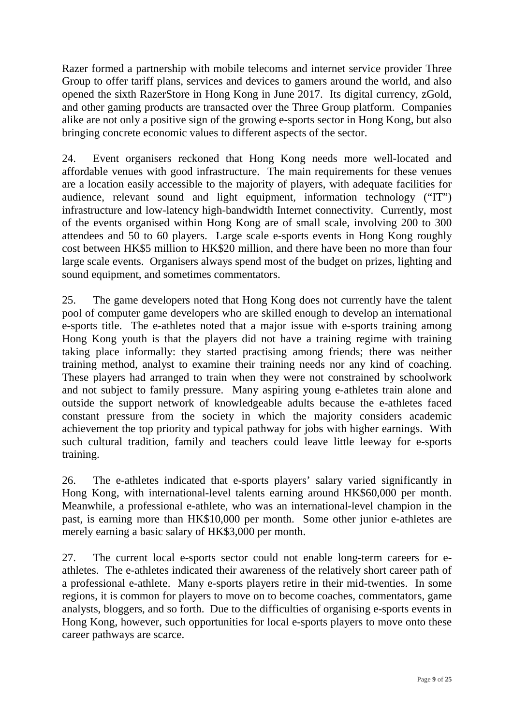Razer formed a partnership with mobile telecoms and internet service provider Three Group to offer tariff plans, services and devices to gamers around the world, and also opened the sixth RazerStore in Hong Kong in June 2017. Its digital currency, zGold, and other gaming products are transacted over the Three Group platform. Companies alike are not only a positive sign of the growing e-sports sector in Hong Kong, but also bringing concrete economic values to different aspects of the sector.

24. Event organisers reckoned that Hong Kong needs more well-located and affordable venues with good infrastructure. The main requirements for these venues are a location easily accessible to the majority of players, with adequate facilities for audience, relevant sound and light equipment, information technology ("IT") infrastructure and low-latency high-bandwidth Internet connectivity. Currently, most of the events organised within Hong Kong are of small scale, involving 200 to 300 attendees and 50 to 60 players. Large scale e-sports events in Hong Kong roughly cost between HK\$5 million to HK\$20 million, and there have been no more than four large scale events. Organisers always spend most of the budget on prizes, lighting and sound equipment, and sometimes commentators.

25. The game developers noted that Hong Kong does not currently have the talent pool of computer game developers who are skilled enough to develop an international e-sports title. The e-athletes noted that a major issue with e-sports training among Hong Kong youth is that the players did not have a training regime with training taking place informally: they started practising among friends; there was neither training method, analyst to examine their training needs nor any kind of coaching. These players had arranged to train when they were not constrained by schoolwork and not subject to family pressure. Many aspiring young e-athletes train alone and outside the support network of knowledgeable adults because the e-athletes faced constant pressure from the society in which the majority considers academic achievement the top priority and typical pathway for jobs with higher earnings. With such cultural tradition, family and teachers could leave little leeway for e-sports training.

26. The e-athletes indicated that e-sports players' salary varied significantly in Hong Kong, with international-level talents earning around HK\$60,000 per month. Meanwhile, a professional e-athlete, who was an international-level champion in the past, is earning more than HK\$10,000 per month. Some other junior e-athletes are merely earning a basic salary of HK\$3,000 per month.

27. The current local e-sports sector could not enable long-term careers for eathletes. The e-athletes indicated their awareness of the relatively short career path of a professional e-athlete. Many e-sports players retire in their mid-twenties. In some regions, it is common for players to move on to become coaches, commentators, game analysts, bloggers, and so forth. Due to the difficulties of organising e-sports events in Hong Kong, however, such opportunities for local e-sports players to move onto these career pathways are scarce.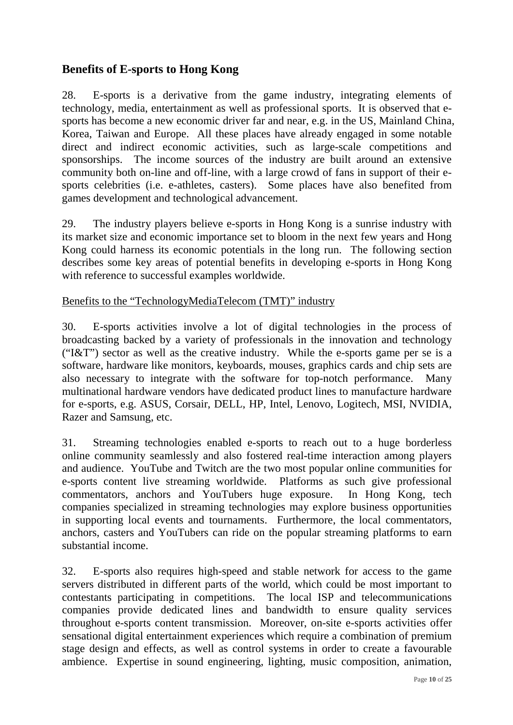# **Benefits of E-sports to Hong Kong**

28. E-sports is a derivative from the game industry, integrating elements of technology, media, entertainment as well as professional sports. It is observed that esports has become a new economic driver far and near, e.g. in the US, Mainland China, Korea, Taiwan and Europe. All these places have already engaged in some notable direct and indirect economic activities, such as large-scale competitions and sponsorships. The income sources of the industry are built around an extensive community both on-line and off-line, with a large crowd of fans in support of their esports celebrities (i.e. e-athletes, casters). Some places have also benefited from games development and technological advancement.

29. The industry players believe e-sports in Hong Kong is a sunrise industry with its market size and economic importance set to bloom in the next few years and Hong Kong could harness its economic potentials in the long run. The following section describes some key areas of potential benefits in developing e-sports in Hong Kong with reference to successful examples worldwide.

# Benefits to the "TechnologyMediaTelecom (TMT)" industry

30. E-sports activities involve a lot of digital technologies in the process of broadcasting backed by a variety of professionals in the innovation and technology ("I&T") sector as well as the creative industry. While the e-sports game per se is a software, hardware like monitors, keyboards, mouses, graphics cards and chip sets are also necessary to integrate with the software for top-notch performance. Many multinational hardware vendors have dedicated product lines to manufacture hardware for e-sports, e.g. ASUS, Corsair, DELL, HP, Intel, Lenovo, Logitech, MSI, NVIDIA, Razer and Samsung, etc.

31. Streaming technologies enabled e-sports to reach out to a huge borderless online community seamlessly and also fostered real-time interaction among players and audience. YouTube and Twitch are the two most popular online communities for e-sports content live streaming worldwide. Platforms as such give professional commentators, anchors and YouTubers huge exposure. In Hong Kong, tech companies specialized in streaming technologies may explore business opportunities in supporting local events and tournaments. Furthermore, the local commentators, anchors, casters and YouTubers can ride on the popular streaming platforms to earn substantial income.

32. E-sports also requires high-speed and stable network for access to the game servers distributed in different parts of the world, which could be most important to contestants participating in competitions. The local ISP and telecommunications companies provide dedicated lines and bandwidth to ensure quality services throughout e-sports content transmission. Moreover, on-site e-sports activities offer sensational digital entertainment experiences which require a combination of premium stage design and effects, as well as control systems in order to create a favourable ambience. Expertise in sound engineering, lighting, music composition, animation,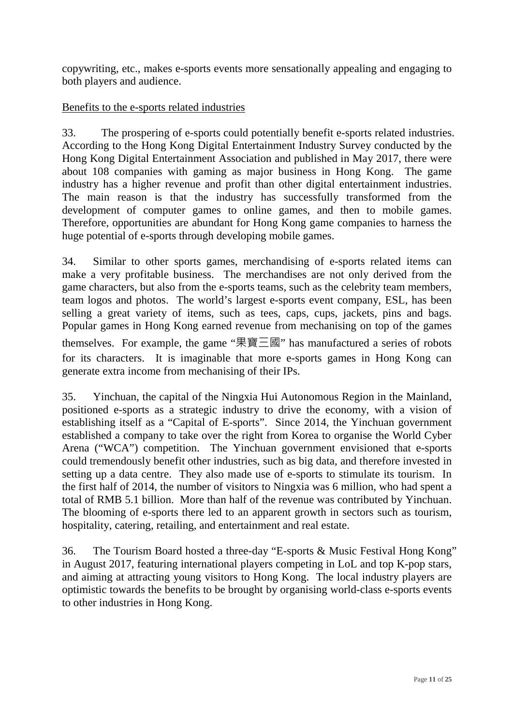copywriting, etc., makes e-sports events more sensationally appealing and engaging to both players and audience.

### Benefits to the e-sports related industries

33. The prospering of e-sports could potentially benefit e-sports related industries. According to the Hong Kong Digital Entertainment Industry Survey conducted by the Hong Kong Digital Entertainment Association and published in May 2017, there were about 108 companies with gaming as major business in Hong Kong. The game industry has a higher revenue and profit than other digital entertainment industries. The main reason is that the industry has successfully transformed from the development of computer games to online games, and then to mobile games. Therefore, opportunities are abundant for Hong Kong game companies to harness the huge potential of e-sports through developing mobile games.

34. Similar to other sports games, merchandising of e-sports related items can make a very profitable business. The merchandises are not only derived from the game characters, but also from the e-sports teams, such as the celebrity team members, team logos and photos. The world's largest e-sports event company, ESL, has been selling a great variety of items, such as tees, caps, cups, jackets, pins and bags. Popular games in Hong Kong earned revenue from mechanising on top of the games themselves. For example, the game "果寶三國" has manufactured a series of robots for its characters. It is imaginable that more e-sports games in Hong Kong can generate extra income from mechanising of their IPs.

35. Yinchuan, the capital of the Ningxia Hui Autonomous Region in the Mainland, positioned e-sports as a strategic industry to drive the economy, with a vision of establishing itself as a "Capital of E-sports". Since 2014, the Yinchuan government established a company to take over the right from Korea to organise the World Cyber Arena ("WCA") competition. The Yinchuan government envisioned that e-sports could tremendously benefit other industries, such as big data, and therefore invested in setting up a data centre. They also made use of e-sports to stimulate its tourism. In the first half of 2014, the number of visitors to Ningxia was 6 million, who had spent a total of RMB 5.1 billion. More than half of the revenue was contributed by Yinchuan. The blooming of e-sports there led to an apparent growth in sectors such as tourism, hospitality, catering, retailing, and entertainment and real estate.

36. The Tourism Board hosted a three-day "E-sports & Music Festival Hong Kong" in August 2017, featuring international players competing in LoL and top K-pop stars, and aiming at attracting young visitors to Hong Kong. The local industry players are optimistic towards the benefits to be brought by organising world-class e-sports events to other industries in Hong Kong.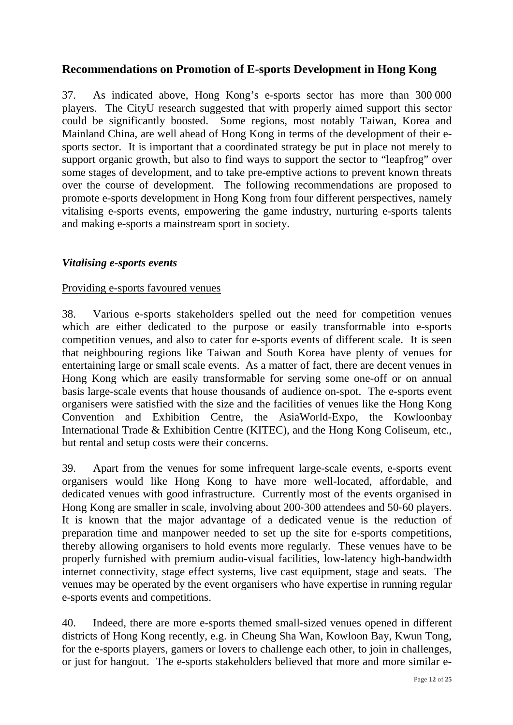# **Recommendations on Promotion of E-sports Development in Hong Kong**

37. As indicated above, Hong Kong's e-sports sector has more than 300 000 players. The CityU research suggested that with properly aimed support this sector could be significantly boosted. Some regions, most notably Taiwan, Korea and Mainland China, are well ahead of Hong Kong in terms of the development of their esports sector. It is important that a coordinated strategy be put in place not merely to support organic growth, but also to find ways to support the sector to "leapfrog" over some stages of development, and to take pre-emptive actions to prevent known threats over the course of development. The following recommendations are proposed to promote e-sports development in Hong Kong from four different perspectives, namely vitalising e-sports events, empowering the game industry, nurturing e-sports talents and making e-sports a mainstream sport in society.

#### *Vitalising e-sports events*

#### Providing e-sports favoured venues

38. Various e-sports stakeholders spelled out the need for competition venues which are either dedicated to the purpose or easily transformable into e-sports competition venues, and also to cater for e-sports events of different scale. It is seen that neighbouring regions like Taiwan and South Korea have plenty of venues for entertaining large or small scale events. As a matter of fact, there are decent venues in Hong Kong which are easily transformable for serving some one-off or on annual basis large-scale events that house thousands of audience on-spot. The e-sports event organisers were satisfied with the size and the facilities of venues like the Hong Kong Convention and Exhibition Centre, the AsiaWorld-Expo, the Kowloonbay International Trade & Exhibition Centre (KITEC), and the Hong Kong Coliseum, etc., but rental and setup costs were their concerns.

39. Apart from the venues for some infrequent large-scale events, e-sports event organisers would like Hong Kong to have more well-located, affordable, and dedicated venues with good infrastructure. Currently most of the events organised in Hong Kong are smaller in scale, involving about 200‐300 attendees and 50‐60 players. It is known that the major advantage of a dedicated venue is the reduction of preparation time and manpower needed to set up the site for e-sports competitions, thereby allowing organisers to hold events more regularly. These venues have to be properly furnished with premium audio-visual facilities, low-latency high-bandwidth internet connectivity, stage effect systems, live cast equipment, stage and seats. The venues may be operated by the event organisers who have expertise in running regular e-sports events and competitions.

40. Indeed, there are more e-sports themed small-sized venues opened in different districts of Hong Kong recently, e.g. in Cheung Sha Wan, Kowloon Bay, Kwun Tong, for the e-sports players, gamers or lovers to challenge each other, to join in challenges, or just for hangout. The e-sports stakeholders believed that more and more similar e-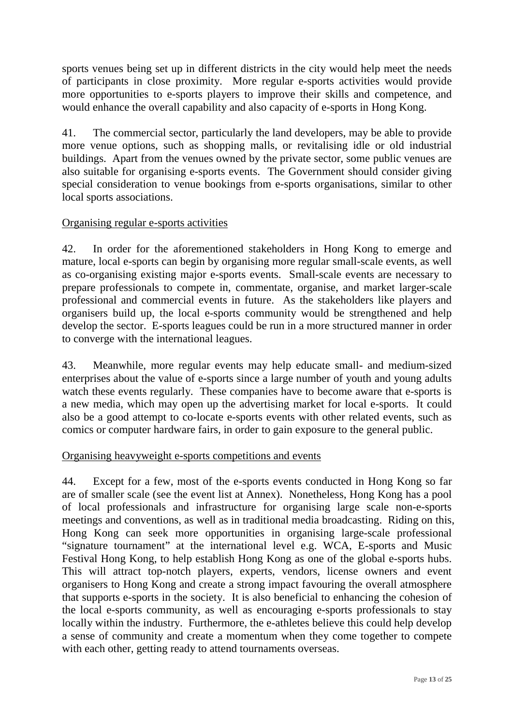sports venues being set up in different districts in the city would help meet the needs of participants in close proximity. More regular e-sports activities would provide more opportunities to e-sports players to improve their skills and competence, and would enhance the overall capability and also capacity of e-sports in Hong Kong.

41. The commercial sector, particularly the land developers, may be able to provide more venue options, such as shopping malls, or revitalising idle or old industrial buildings. Apart from the venues owned by the private sector, some public venues are also suitable for organising e-sports events. The Government should consider giving special consideration to venue bookings from e-sports organisations, similar to other local sports associations.

# Organising regular e-sports activities

42. In order for the aforementioned stakeholders in Hong Kong to emerge and mature, local e-sports can begin by organising more regular small-scale events, as well as co-organising existing major e-sports events. Small-scale events are necessary to prepare professionals to compete in, commentate, organise, and market larger-scale professional and commercial events in future. As the stakeholders like players and organisers build up, the local e-sports community would be strengthened and help develop the sector. E-sports leagues could be run in a more structured manner in order to converge with the international leagues.

43. Meanwhile, more regular events may help educate small- and medium-sized enterprises about the value of e-sports since a large number of youth and young adults watch these events regularly. These companies have to become aware that e-sports is a new media, which may open up the advertising market for local e-sports. It could also be a good attempt to co-locate e-sports events with other related events, such as comics or computer hardware fairs, in order to gain exposure to the general public.

# Organising heavyweight e-sports competitions and events

44. Except for a few, most of the e-sports events conducted in Hong Kong so far are of smaller scale (see the event list at Annex). Nonetheless, Hong Kong has a pool of local professionals and infrastructure for organising large scale non-e-sports meetings and conventions, as well as in traditional media broadcasting. Riding on this, Hong Kong can seek more opportunities in organising large-scale professional "signature tournament" at the international level e.g. WCA, E-sports and Music Festival Hong Kong, to help establish Hong Kong as one of the global e-sports hubs. This will attract top-notch players, experts, vendors, license owners and event organisers to Hong Kong and create a strong impact favouring the overall atmosphere that supports e-sports in the society. It is also beneficial to enhancing the cohesion of the local e-sports community, as well as encouraging e-sports professionals to stay locally within the industry. Furthermore, the e-athletes believe this could help develop a sense of community and create a momentum when they come together to compete with each other, getting ready to attend tournaments overseas.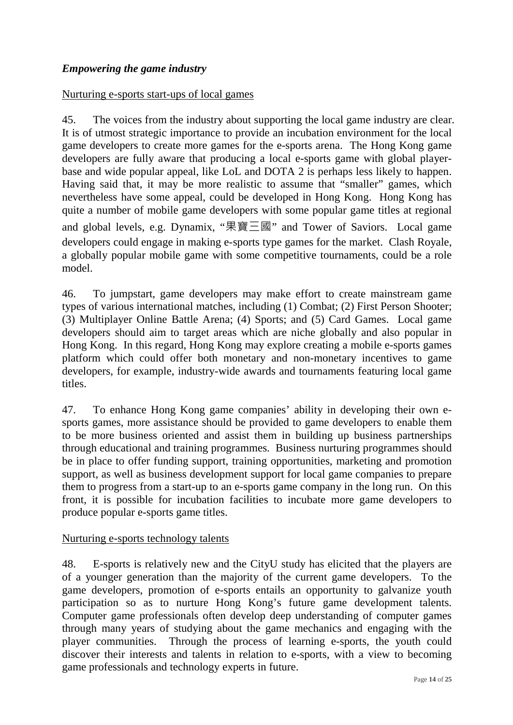# *Empowering the game industry*

### Nurturing e-sports start-ups of local games

45. The voices from the industry about supporting the local game industry are clear. It is of utmost strategic importance to provide an incubation environment for the local game developers to create more games for the e-sports arena. The Hong Kong game developers are fully aware that producing a local e-sports game with global playerbase and wide popular appeal, like LoL and DOTA 2 is perhaps less likely to happen. Having said that, it may be more realistic to assume that "smaller" games, which nevertheless have some appeal, could be developed in Hong Kong. Hong Kong has quite a number of mobile game developers with some popular game titles at regional and global levels, e.g. Dynamix, "果寶三國" and Tower of Saviors. Local game developers could engage in making e-sports type games for the market. Clash Royale, a globally popular mobile game with some competitive tournaments, could be a role model.

46. To jumpstart, game developers may make effort to create mainstream game types of various international matches, including (1) Combat; (2) First Person Shooter; (3) Multiplayer Online Battle Arena; (4) Sports; and (5) Card Games. Local game developers should aim to target areas which are niche globally and also popular in Hong Kong. In this regard, Hong Kong may explore creating a mobile e-sports games platform which could offer both monetary and non-monetary incentives to game developers, for example, industry-wide awards and tournaments featuring local game titles.

47. To enhance Hong Kong game companies' ability in developing their own esports games, more assistance should be provided to game developers to enable them to be more business oriented and assist them in building up business partnerships through educational and training programmes. Business nurturing programmes should be in place to offer funding support, training opportunities, marketing and promotion support, as well as business development support for local game companies to prepare them to progress from a start-up to an e-sports game company in the long run. On this front, it is possible for incubation facilities to incubate more game developers to produce popular e-sports game titles.

#### Nurturing e-sports technology talents

48. E-sports is relatively new and the CityU study has elicited that the players are of a younger generation than the majority of the current game developers. To the game developers, promotion of e-sports entails an opportunity to galvanize youth participation so as to nurture Hong Kong's future game development talents. Computer game professionals often develop deep understanding of computer games through many years of studying about the game mechanics and engaging with the player communities. Through the process of learning e-sports, the youth could discover their interests and talents in relation to e-sports, with a view to becoming game professionals and technology experts in future.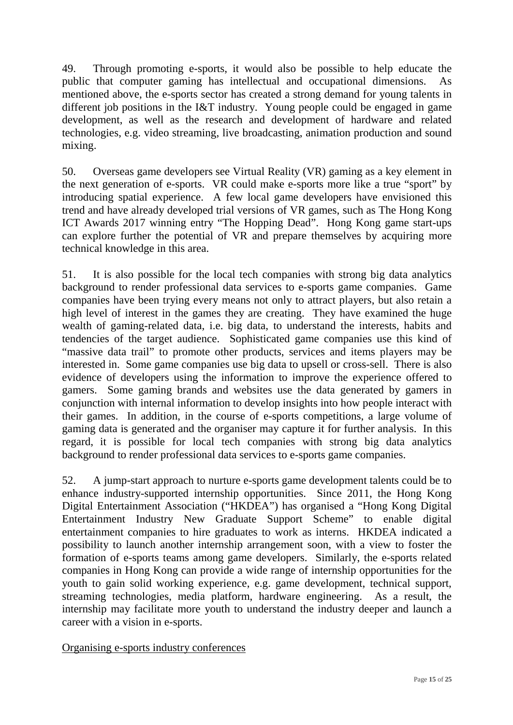49. Through promoting e-sports, it would also be possible to help educate the public that computer gaming has intellectual and occupational dimensions. As mentioned above, the e-sports sector has created a strong demand for young talents in different job positions in the I&T industry. Young people could be engaged in game development, as well as the research and development of hardware and related technologies, e.g. video streaming, live broadcasting, animation production and sound mixing.

50. Overseas game developers see Virtual Reality (VR) gaming as a key element in the next generation of e-sports. VR could make e-sports more like a true "sport" by introducing spatial experience. A few local game developers have envisioned this trend and have already developed trial versions of VR games, such as The Hong Kong ICT Awards 2017 winning entry "The Hopping Dead". Hong Kong game start-ups can explore further the potential of VR and prepare themselves by acquiring more technical knowledge in this area.

51. It is also possible for the local tech companies with strong big data analytics background to render professional data services to e-sports game companies. Game companies have been trying every means not only to attract players, but also retain a high level of interest in the games they are creating. They have examined the huge wealth of gaming-related data, i.e. big data, to understand the interests, habits and tendencies of the target audience. Sophisticated game companies use this kind of "massive data trail" to promote other products, services and items players may be interested in. Some game companies use big data to upsell or cross-sell. There is also evidence of developers using the information to improve the experience offered to gamers. Some gaming brands and websites use the data generated by gamers in conjunction with internal information to develop insights into how people interact with their games. In addition, in the course of e-sports competitions, a large volume of gaming data is generated and the organiser may capture it for further analysis. In this regard, it is possible for local tech companies with strong big data analytics background to render professional data services to e-sports game companies.

52. A jump-start approach to nurture e-sports game development talents could be to enhance industry-supported internship opportunities. Since 2011, the Hong Kong Digital Entertainment Association ("HKDEA") has organised a "Hong Kong Digital Entertainment Industry New Graduate Support Scheme" to enable digital entertainment companies to hire graduates to work as interns. HKDEA indicated a possibility to launch another internship arrangement soon, with a view to foster the formation of e-sports teams among game developers. Similarly, the e-sports related companies in Hong Kong can provide a wide range of internship opportunities for the youth to gain solid working experience, e.g. game development, technical support, streaming technologies, media platform, hardware engineering. As a result, the internship may facilitate more youth to understand the industry deeper and launch a career with a vision in e-sports.

Organising e-sports industry conferences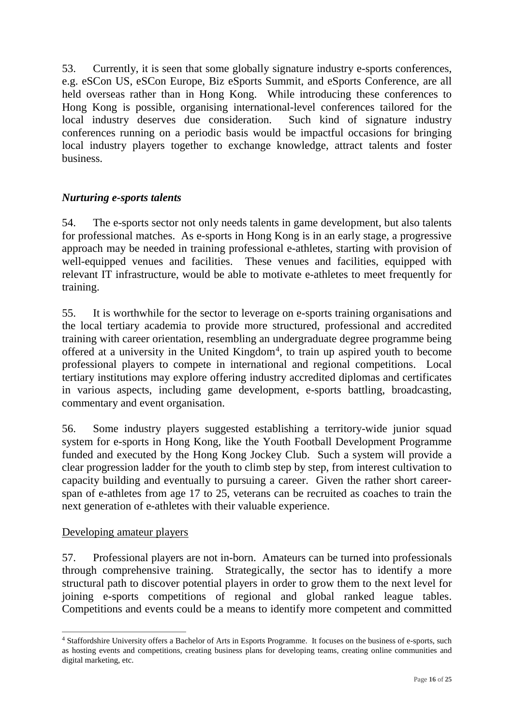53. Currently, it is seen that some globally signature industry e-sports conferences, e.g. eSCon US, eSCon Europe, Biz eSports Summit, and eSports Conference, are all held overseas rather than in Hong Kong. While introducing these conferences to Hong Kong is possible, organising international-level conferences tailored for the local industry deserves due consideration. Such kind of signature industry conferences running on a periodic basis would be impactful occasions for bringing local industry players together to exchange knowledge, attract talents and foster business.

# *Nurturing e-sports talents*

54. The e-sports sector not only needs talents in game development, but also talents for professional matches. As e-sports in Hong Kong is in an early stage, a progressive approach may be needed in training professional e-athletes, starting with provision of well-equipped venues and facilities. These venues and facilities, equipped with relevant IT infrastructure, would be able to motivate e-athletes to meet frequently for training.

55. It is worthwhile for the sector to leverage on e-sports training organisations and the local tertiary academia to provide more structured, professional and accredited training with career orientation, resembling an undergraduate degree programme being offered at a university in the United Kingdom<sup>[4](#page-15-0)</sup>, to train up aspired youth to become professional players to compete in international and regional competitions. Local tertiary institutions may explore offering industry accredited diplomas and certificates in various aspects, including game development, e-sports battling, broadcasting, commentary and event organisation.

56. Some industry players suggested establishing a territory-wide junior squad system for e-sports in Hong Kong, like the Youth Football Development Programme funded and executed by the Hong Kong Jockey Club. Such a system will provide a clear progression ladder for the youth to climb step by step, from interest cultivation to capacity building and eventually to pursuing a career. Given the rather short careerspan of e-athletes from age 17 to 25, veterans can be recruited as coaches to train the next generation of e-athletes with their valuable experience.

# Developing amateur players

57. Professional players are not in-born. Amateurs can be turned into professionals through comprehensive training. Strategically, the sector has to identify a more structural path to discover potential players in order to grow them to the next level for joining e-sports competitions of regional and global ranked league tables. Competitions and events could be a means to identify more competent and committed

<span id="page-15-0"></span> $\overline{a}$ <sup>4</sup> Staffordshire University offers a Bachelor of Arts in Esports Programme. It focuses on the business of e-sports, such as hosting events and competitions, creating business plans for developing teams, creating online communities and digital marketing, etc.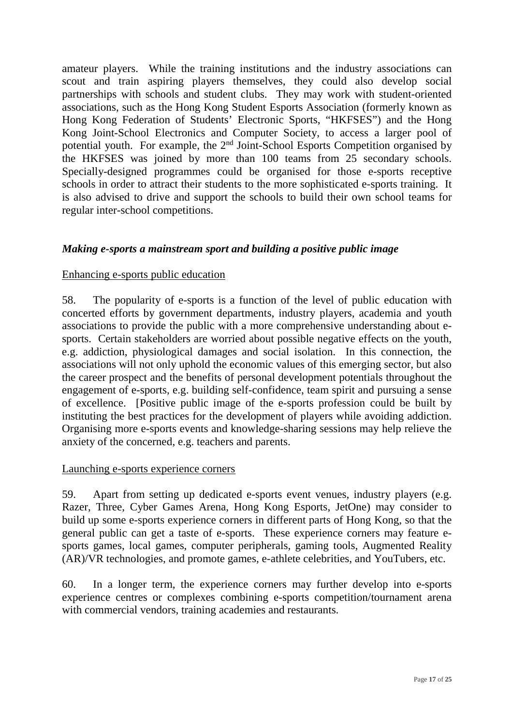amateur players. While the training institutions and the industry associations can scout and train aspiring players themselves, they could also develop social partnerships with schools and student clubs. They may work with student-oriented associations, such as the Hong Kong Student Esports Association (formerly known as Hong Kong Federation of Students' Electronic Sports, "HKFSES") and the Hong Kong Joint-School Electronics and Computer Society, to access a larger pool of potential youth. For example, the 2nd Joint-School Esports Competition organised by the HKFSES was joined by more than 100 teams from 25 secondary schools. Specially-designed programmes could be organised for those e-sports receptive schools in order to attract their students to the more sophisticated e-sports training. It is also advised to drive and support the schools to build their own school teams for regular inter-school competitions.

# *Making e-sports a mainstream sport and building a positive public image*

#### Enhancing e-sports public education

58. The popularity of e-sports is a function of the level of public education with concerted efforts by government departments, industry players, academia and youth associations to provide the public with a more comprehensive understanding about esports. Certain stakeholders are worried about possible negative effects on the youth, e.g. addiction, physiological damages and social isolation. In this connection, the associations will not only uphold the economic values of this emerging sector, but also the career prospect and the benefits of personal development potentials throughout the engagement of e-sports, e.g. building self-confidence, team spirit and pursuing a sense of excellence. [Positive public image of the e-sports profession could be built by instituting the best practices for the development of players while avoiding addiction. Organising more e-sports events and knowledge-sharing sessions may help relieve the anxiety of the concerned, e.g. teachers and parents.

#### Launching e-sports experience corners

59. Apart from setting up dedicated e-sports event venues, industry players (e.g. Razer, Three, Cyber Games Arena, Hong Kong Esports, JetOne) may consider to build up some e-sports experience corners in different parts of Hong Kong, so that the general public can get a taste of e-sports. These experience corners may feature esports games, local games, computer peripherals, gaming tools, Augmented Reality (AR)/VR technologies, and promote games, e-athlete celebrities, and YouTubers, etc.

60. In a longer term, the experience corners may further develop into e-sports experience centres or complexes combining e-sports competition/tournament arena with commercial vendors, training academies and restaurants.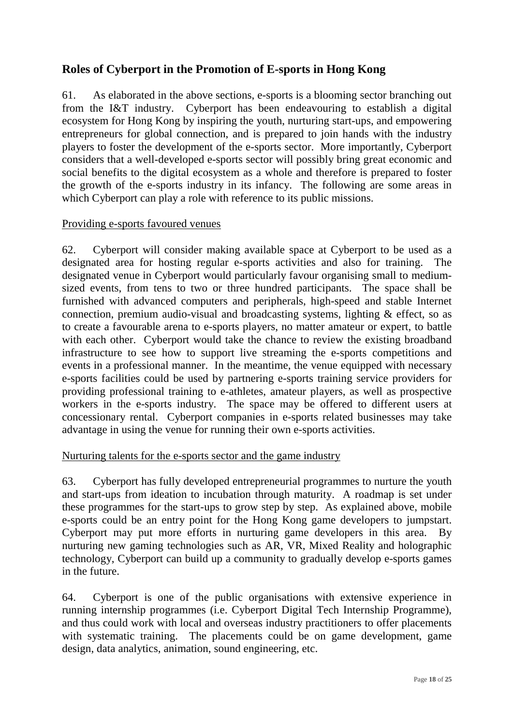# **Roles of Cyberport in the Promotion of E-sports in Hong Kong**

61. As elaborated in the above sections, e-sports is a blooming sector branching out from the I&T industry. Cyberport has been endeavouring to establish a digital ecosystem for Hong Kong by inspiring the youth, nurturing start-ups, and empowering entrepreneurs for global connection, and is prepared to join hands with the industry players to foster the development of the e-sports sector. More importantly, Cyberport considers that a well-developed e-sports sector will possibly bring great economic and social benefits to the digital ecosystem as a whole and therefore is prepared to foster the growth of the e-sports industry in its infancy. The following are some areas in which Cyberport can play a role with reference to its public missions.

### Providing e-sports favoured venues

62. Cyberport will consider making available space at Cyberport to be used as a designated area for hosting regular e-sports activities and also for training. The designated venue in Cyberport would particularly favour organising small to mediumsized events, from tens to two or three hundred participants. The space shall be furnished with advanced computers and peripherals, high-speed and stable Internet connection, premium audio-visual and broadcasting systems, lighting & effect, so as to create a favourable arena to e-sports players, no matter amateur or expert, to battle with each other. Cyberport would take the chance to review the existing broadband infrastructure to see how to support live streaming the e-sports competitions and events in a professional manner. In the meantime, the venue equipped with necessary e-sports facilities could be used by partnering e-sports training service providers for providing professional training to e-athletes, amateur players, as well as prospective workers in the e-sports industry. The space may be offered to different users at concessionary rental. Cyberport companies in e-sports related businesses may take advantage in using the venue for running their own e-sports activities.

#### Nurturing talents for the e-sports sector and the game industry

63. Cyberport has fully developed entrepreneurial programmes to nurture the youth and start-ups from ideation to incubation through maturity. A roadmap is set under these programmes for the start-ups to grow step by step. As explained above, mobile e-sports could be an entry point for the Hong Kong game developers to jumpstart. Cyberport may put more efforts in nurturing game developers in this area. By nurturing new gaming technologies such as AR, VR, Mixed Reality and holographic technology, Cyberport can build up a community to gradually develop e-sports games in the future.

64. Cyberport is one of the public organisations with extensive experience in running internship programmes (i.e. Cyberport Digital Tech Internship Programme), and thus could work with local and overseas industry practitioners to offer placements with systematic training. The placements could be on game development, game design, data analytics, animation, sound engineering, etc.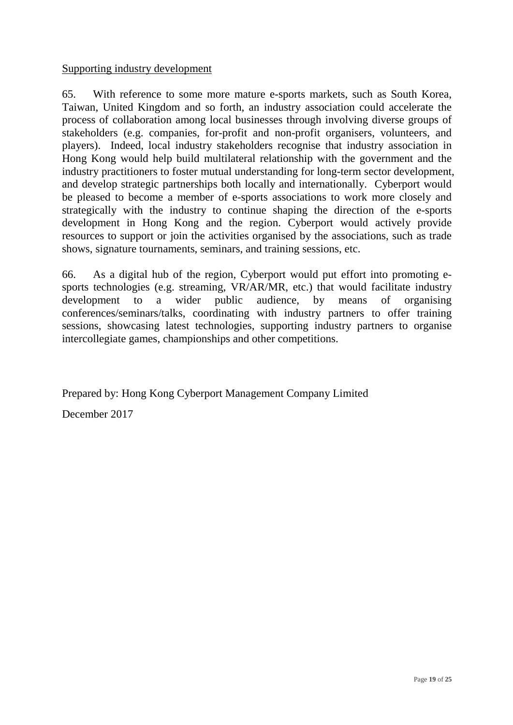#### Supporting industry development

65. With reference to some more mature e-sports markets, such as South Korea, Taiwan, United Kingdom and so forth, an industry association could accelerate the process of collaboration among local businesses through involving diverse groups of stakeholders (e.g. companies, for-profit and non-profit organisers, volunteers, and players). Indeed, local industry stakeholders recognise that industry association in Hong Kong would help build multilateral relationship with the government and the industry practitioners to foster mutual understanding for long-term sector development, and develop strategic partnerships both locally and internationally. Cyberport would be pleased to become a member of e-sports associations to work more closely and strategically with the industry to continue shaping the direction of the e-sports development in Hong Kong and the region. Cyberport would actively provide resources to support or join the activities organised by the associations, such as trade shows, signature tournaments, seminars, and training sessions, etc.

66. As a digital hub of the region, Cyberport would put effort into promoting esports technologies (e.g. streaming, VR/AR/MR, etc.) that would facilitate industry development to a wider public audience, by means of organising conferences/seminars/talks, coordinating with industry partners to offer training sessions, showcasing latest technologies, supporting industry partners to organise intercollegiate games, championships and other competitions.

Prepared by: Hong Kong Cyberport Management Company Limited

December 2017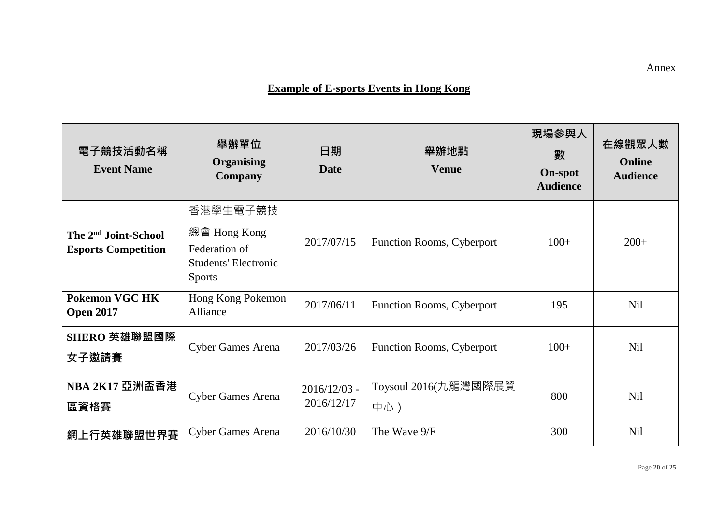# **Example of E-sports Events in Hong Kong**

| 電子競技活動名稱<br><b>Event Name</b>                                  | 舉辦單位<br><b>Organising</b><br><b>Company</b>                                               | 日期<br><b>Date</b>            | 舉辦地點<br><b>Venue</b>        | 現場參與人<br>數<br><b>On-spot</b><br><b>Audience</b> | 在線觀眾人數<br><b>Online</b><br><b>Audience</b> |
|----------------------------------------------------------------|-------------------------------------------------------------------------------------------|------------------------------|-----------------------------|-------------------------------------------------|--------------------------------------------|
| The 2 <sup>nd</sup> Joint-School<br><b>Esports Competition</b> | 香港學生電子競技<br>總會 Hong Kong<br>Federation of<br><b>Students' Electronic</b><br><b>Sports</b> | 2017/07/15                   | Function Rooms, Cyberport   | $100+$                                          | $200+$                                     |
| <b>Pokemon VGC HK</b><br><b>Open 2017</b>                      | Hong Kong Pokemon<br>Alliance                                                             | 2017/06/11                   | Function Rooms, Cyberport   | 195                                             | <b>Nil</b>                                 |
| SHERO 英雄聯盟國際<br>女子邀請賽                                          | <b>Cyber Games Arena</b>                                                                  | 2017/03/26                   | Function Rooms, Cyberport   | $100+$                                          | Nil                                        |
| <b>NBA 2K17 亞洲盃香港</b><br>區資格賽                                  | <b>Cyber Games Arena</b>                                                                  | $2016/12/03$ -<br>2016/12/17 | Toysoul 2016(九龍灣國際展貿<br>中心) | 800                                             | <b>Nil</b>                                 |
| 網上行英雄聯盟世界賽                                                     | <b>Cyber Games Arena</b>                                                                  | 2016/10/30                   | The Wave 9/F                | 300                                             | <b>Nil</b>                                 |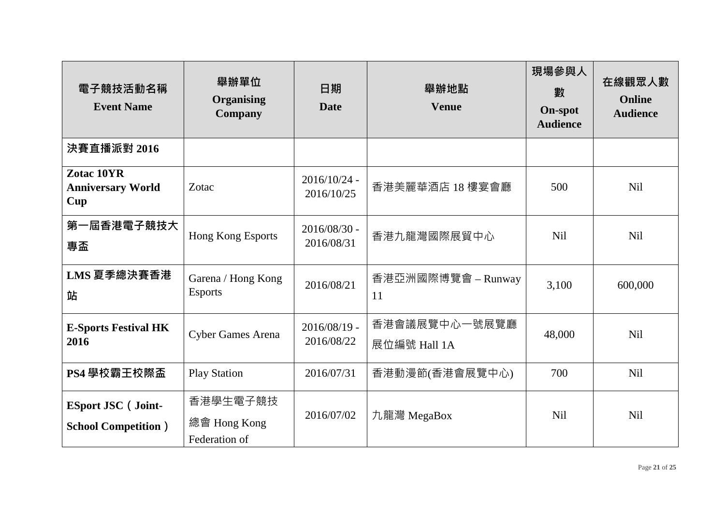| 電子競技活動名稱<br><b>Event Name</b>                            | 舉辦單位<br><b>Organising</b><br><b>Company</b> | 日期<br><b>Date</b>            | 舉辦地點<br><b>Venue</b>          | 現場參與人<br>數<br><b>On-spot</b><br><b>Audience</b> | 在線觀眾人數<br><b>Online</b><br><b>Audience</b> |
|----------------------------------------------------------|---------------------------------------------|------------------------------|-------------------------------|-------------------------------------------------|--------------------------------------------|
| 決賽直播派對 2016                                              |                                             |                              |                               |                                                 |                                            |
| Zotac 10YR<br><b>Anniversary World</b><br>Cup            | Zotac                                       | $2016/10/24$ -<br>2016/10/25 | 香港美麗華酒店 18 樓宴會廳               | 500                                             | <b>Nil</b>                                 |
| 第一屆香港電子競技大<br>專盃                                         | Hong Kong Esports                           | $2016/08/30$ -<br>2016/08/31 | 香港九龍灣國際展貿中心                   | <b>Nil</b>                                      | <b>Nil</b>                                 |
| LMS 夏季總決賽香港<br>站                                         | Garena / Hong Kong<br><b>Esports</b>        | 2016/08/21                   | 香港亞洲國際博覽會 – Runway<br>11      | 3,100                                           | 600,000                                    |
| <b>E-Sports Festival HK</b><br>2016                      | <b>Cyber Games Arena</b>                    | $2016/08/19$ -<br>2016/08/22 | 香港會議展覽中心一號展覽廳<br>展位編號 Hall 1A | 48,000                                          | <b>Nil</b>                                 |
| PS4 學校霸王校際盃                                              | <b>Play Station</b>                         | 2016/07/31                   | 香港動漫節(香港會展覽中心)                | 700                                             | <b>Nil</b>                                 |
| <b>ESport JSC</b> (Joint-<br><b>School Competition</b> ) | 香港學生電子競技<br>總會 Hong Kong<br>Federation of   | 2016/07/02                   | 九龍灣 MegaBox                   | <b>Nil</b>                                      | <b>Nil</b>                                 |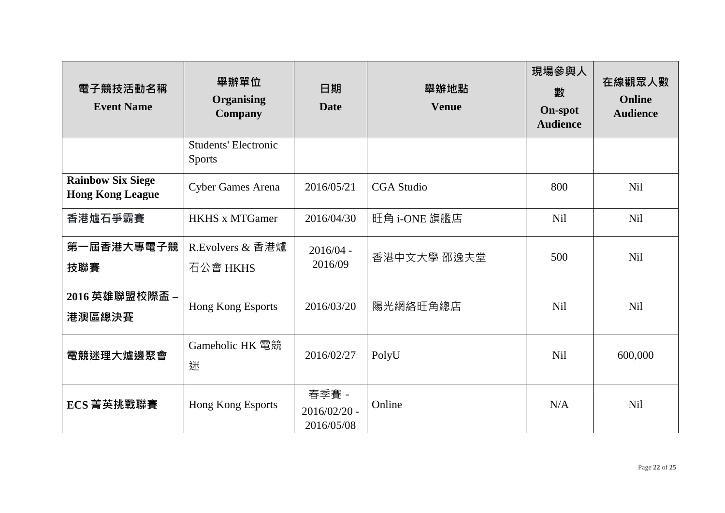| 電子競技活動名稱<br><b>Event Name</b>                       | 舉辦單位<br><b>Organising</b><br><b>Company</b>  | 日期<br><b>Date</b>                     | 舉辦地點<br><b>Venue</b> | 現場參與人<br>數<br><b>On-spot</b><br><b>Audience</b> | 在線觀眾人數<br><b>Online</b><br><b>Audience</b> |
|-----------------------------------------------------|----------------------------------------------|---------------------------------------|----------------------|-------------------------------------------------|--------------------------------------------|
|                                                     | <b>Students' Electronic</b><br><b>Sports</b> |                                       |                      |                                                 |                                            |
| <b>Rainbow Six Siege</b><br><b>Hong Kong League</b> | <b>Cyber Games Arena</b>                     | 2016/05/21                            | <b>CGA</b> Studio    | 800                                             | <b>Nil</b>                                 |
| 香港爐石爭霸賽                                             | <b>HKHS x MTGamer</b>                        | 2016/04/30                            | 旺角 i-ONE 旗艦店         | <b>Nil</b>                                      | <b>Nil</b>                                 |
| 第一屆香港大專電子競<br>技聯賽                                   | R. Evolvers $\&$ 香港爐<br>石公會 HKHS             | $2016/04 -$<br>2016/09                | 香港中文大學 邵逸夫堂          | 500                                             | <b>Nil</b>                                 |
| 2016 英雄聯盟校際盃 -<br>港澳區總決賽                            | Hong Kong Esports                            | 2016/03/20                            | 陽光網絡旺角總店             | <b>Nil</b>                                      | <b>Nil</b>                                 |
| <b>電競迷理大爐邊</b> 聚會                                   | Gameholic HK 電競<br>迷                         | 2016/02/27                            | PolyU                | Nil                                             | 600,000                                    |
| ECS 菁英挑戰聯賽                                          | Hong Kong Esports                            | 春季賽 -<br>$2016/02/20$ -<br>2016/05/08 | Online               | N/A                                             | <b>Nil</b>                                 |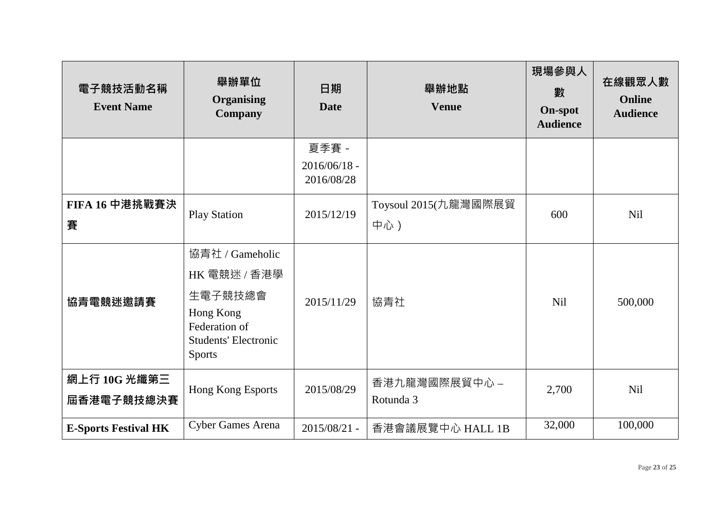| 電子競技活動名稱<br><b>Event Name</b> | 舉辦單位<br><b>Organising</b><br><b>Company</b>                                                                              | 日期<br><b>Date</b>                     | 舉辦地點<br><b>Venue</b>        | 現場參與人<br>數<br><b>On-spot</b><br><b>Audience</b> | 在線觀眾人數<br>Online<br><b>Audience</b> |
|-------------------------------|--------------------------------------------------------------------------------------------------------------------------|---------------------------------------|-----------------------------|-------------------------------------------------|-------------------------------------|
|                               |                                                                                                                          | 夏季賽 -<br>$2016/06/18$ -<br>2016/08/28 |                             |                                                 |                                     |
| FIFA 16 中港挑戰賽決<br>賽           | <b>Play Station</b>                                                                                                      | 2015/12/19                            | Toysoul 2015(九龍灣國際展貿<br>中心) | 600                                             | <b>Nil</b>                          |
| 協青電競迷邀請賽                      | 協青社 / Gameholic<br>HK 電競迷 / 香港學<br>生電子競技總會<br>Hong Kong<br>Federation of<br><b>Students' Electronic</b><br><b>Sports</b> | 2015/11/29                            | 協青社                         | <b>Nil</b>                                      | 500,000                             |
| 網上行 10G 光纖第三<br>屆香港電子競技總決賽    | Hong Kong Esports                                                                                                        | 2015/08/29                            | 香港九龍灣國際展貿中心 -<br>Rotunda 3  | 2,700                                           | <b>Nil</b>                          |
| <b>E-Sports Festival HK</b>   | <b>Cyber Games Arena</b>                                                                                                 | $2015/08/21$ -                        | 香港會議展覽中心 HALL 1B            | 32,000                                          | 100,000                             |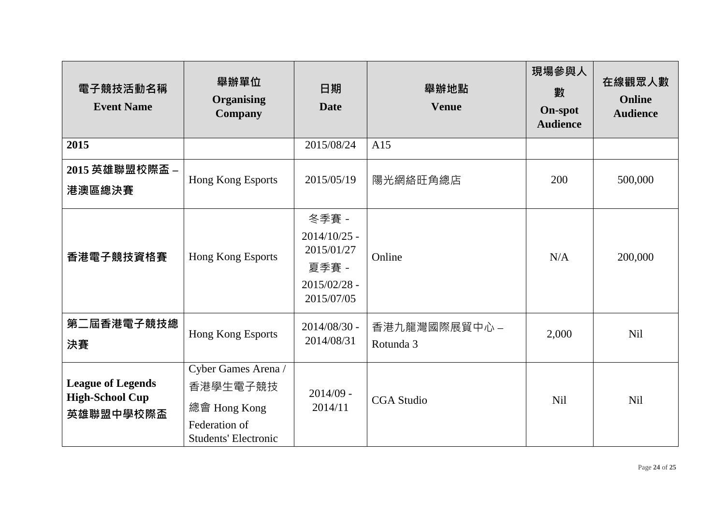| 電子競技活動名稱<br><b>Event Name</b>                                   | 舉辦單位<br><b>Organising</b><br><b>Company</b>                                                     | 日期<br><b>Date</b>                                                              | 舉辦地點<br><b>Venue</b>       | 現場參與人<br>數<br><b>On-spot</b><br><b>Audience</b> | 在線觀眾人數<br>Online<br><b>Audience</b> |
|-----------------------------------------------------------------|-------------------------------------------------------------------------------------------------|--------------------------------------------------------------------------------|----------------------------|-------------------------------------------------|-------------------------------------|
| 2015                                                            |                                                                                                 | 2015/08/24                                                                     | A15                        |                                                 |                                     |
| 2015 英雄聯盟校際盃 -<br>港澳區總決賽                                        | Hong Kong Esports                                                                               | 2015/05/19                                                                     | 陽光網絡旺角總店                   | 200                                             | 500,000                             |
| 香港電子競技資格賽                                                       | Hong Kong Esports                                                                               | 冬季賽 -<br>$2014/10/25$ -<br>2015/01/27<br>夏季賽 -<br>$2015/02/28$ -<br>2015/07/05 | Online                     | N/A                                             | 200,000                             |
| 第二屆香港電子競技總<br>決賽                                                | Hong Kong Esports                                                                               | $2014/08/30$ -<br>2014/08/31                                                   | 香港九龍灣國際展貿中心 -<br>Rotunda 3 | 2,000                                           | <b>Nil</b>                          |
| <b>League of Legends</b><br><b>High-School Cup</b><br>英雄聯盟中學校際盃 | Cyber Games Arena /<br>香港學生電子競技<br>總會 Hong Kong<br>Federation of<br><b>Students' Electronic</b> | $2014/09$ -<br>2014/11                                                         | <b>CGA</b> Studio          | <b>Nil</b>                                      | <b>Nil</b>                          |